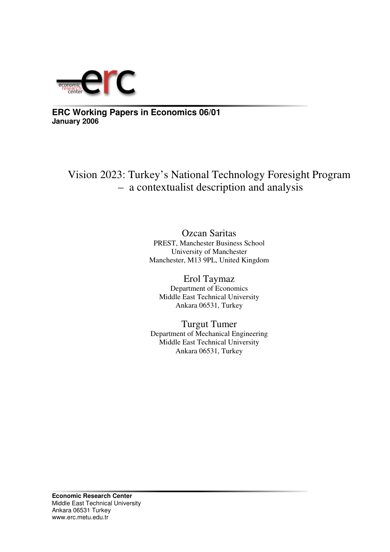

**ERC Working Papers in Economics 06/01 January 2006**

Vision 2023: Turkey's National Technology Foresight Program – a contextualist description and analysis

> Ozcan Saritas PREST, Manchester Business School University of Manchester Manchester, M13 9PL, United Kingdom

Erol Taymaz Department of Economics Middle East Technical University Ankara 06531, Turkey

Turgut Tumer Department of Mechanical Engineering Middle East Technical University Ankara 06531, Turkey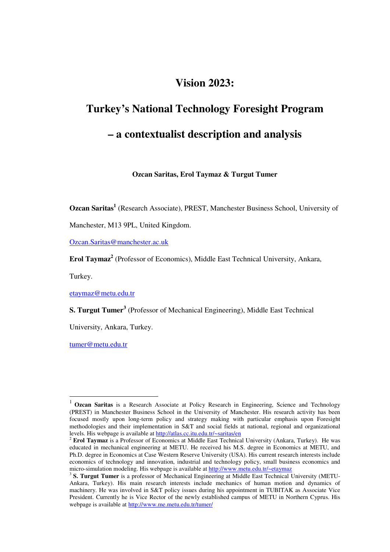# **Vision 2023:**

# **Turkey's National Technology Foresight Program – a contextualist description and analysis**

**Ozcan Saritas, Erol Taymaz & Turgut Tumer**

**Ozcan Saritas 1** (Research Associate), PREST, Manchester Business School, University of

Manchester, M13 9PL, United Kingdom.

Ozcan.Saritas@manchester.ac.uk

**Erol Taymaz 2** (Professor of Economics), Middle East Technical University, Ankara,

Turkey.

etaymaz@metu.edu.tr

**S. Turgut Tumer 3** (Professor of Mechanical Engineering), Middle East Technical

University, Ankara, Turkey.

tumer@metu.edu.tr

<sup>1</sup> **Ozcan Saritas** is <sup>a</sup> Research Associate at Policy Research in Engineering, Science and Technology (PREST) in Manchester Business School in the University of Manchester. His research activity has been focused mostly upon long-term policy and strategy making with particular emphasis upon Foresight methodologies and their implementation in S&T and social fields at national, regional and organizational levels. His webpage is available at http://atlas.cc.itu.edu.tr/~saritas/en

<sup>2</sup> **Erol Taymaz** is a Professor of Economics at Middle East Technical University (Ankara, Turkey). He was educated in mechanical engineering at METU. He received his M.S. degree in Economics at METU, and Ph.D. degree in Economics at Case Western Reserve University (USA). His current research interests include economics of technology and innovation, industrial and technology policy, small business economics and micro-simulation modeling. His webpage is available at http://www.metu.edu.tr/~etaymaz

<sup>3</sup> **S. Turgut Tumer** is a professor of Mechanical Engineering at Middle East Technical University (METU-Ankara, Turkey). His main research interests include mechanics of human motion and dynamics of machinery. He was involved in S&T policy issues during his appointment in TUBITAK as Associate Vice President. Currently he is Vice Rector of the newly established campus of METU in Northern Cyprus. His webpage is available at http://www.me.metu.edu.tr/tumer/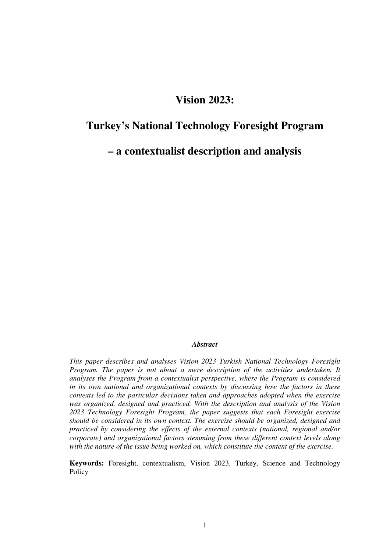# **Vision 2023:**

# **Turkey's National Technology Foresight Program**

**– a contextualist description and analysis**

#### *Abstract*

*This paper describes and analyses Vision 2023 Turkish National Technology Foresight Program. The paper is not about a mere description of the activities undertaken. It analyses the Program from a contextualist perspective, where the Program is considered in its own national and organizational contexts by discussing how the factors in these contexts led to the particular decisions taken and approaches adopted when the exercise was organized, designed and practiced. With the description and analysis of the Vision 2023 Technology Foresight Program, the paper suggests that each Foresight exercise should be considered in its own context. The exercise should be organized, designed and practiced by considering the effects of the external contexts (national, regional and/or corporate) and organizational factors stemming from these different context levels along with the nature of the issue being worked on, which constitute the content of the exercise.*

**Keywords:** Foresight, contextualism, Vision 2023, Turkey, Science and Technology Policy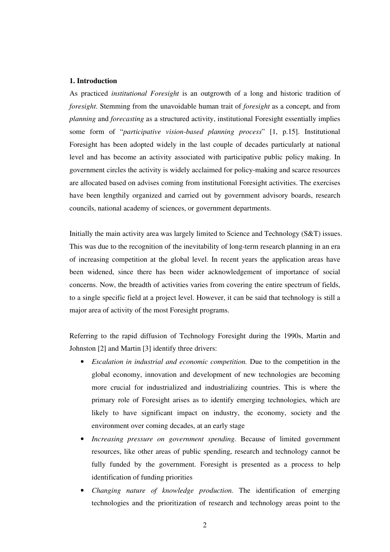### **1. Introduction**

As practiced *institutional Foresight* is an outgrowth of a long and historic tradition of *foresight*. Stemming from the unavoidable human trait of *foresight* as a concept, and from *planning* and *forecasting* as a structured activity, institutional Foresight essentially implies some form of "*participative vision-based planning process*" [1, p.15]. Institutional Foresight has been adopted widely in the last couple of decades particularly at national level and has become an activity associated with participative public policy making. In government circles the activity is widely acclaimed for policy-making and scarce resources are allocated based on advises coming from institutional Foresight activities. The exercises have been lengthily organized and carried out by government advisory boards, research councils, national academy of sciences, or government departments.

Initially the main activity area was largely limited to Science and Technology (S&T) issues. This was due to the recognition of the inevitability of long-term research planning in an era of increasing competition at the global level. In recent years the application areas have been widened, since there has been wider acknowledgement of importance of social concerns. Now, the breadth of activities varies from covering the entire spectrum of fields, to a single specific field at a project level. However, it can be said that technology is still a major area of activity of the most Foresight programs.

Referring to the rapid diffusion of Technology Foresight during the 1990s, Martin and Johnston [2] and Martin [3] identify three drivers:

- *Escalation in industrial and economic competition.* Due to the competition in the global economy, innovation and development of new technologies are becoming more crucial for industrialized and industrializing countries. This is where the primary role of Foresight arises as to identify emerging technologies, which are likely to have significant impact on industry, the economy, society and the environment over coming decades, at an early stage
- *Increasing pressure on government spending.* Because of limited government resources, like other areas of public spending, research and technology cannot be fully funded by the government. Foresight is presented as a process to help identification of funding priorities
- *Changing nature of knowledge production.* The identification of emerging technologies and the prioritization of research and technology areas point to the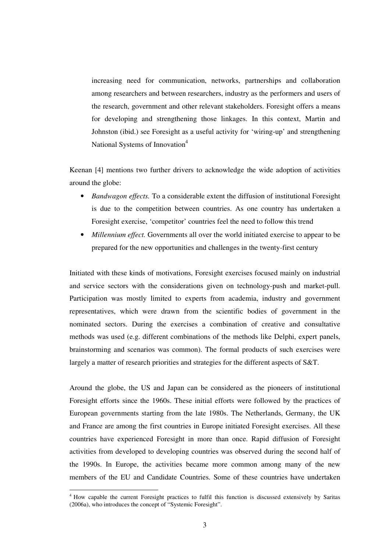increasing need for communication, networks, partnerships and collaboration among researchers and between researchers, industry as the performers and users of the research, government and other relevant stakeholders. Foresight offers a means for developing and strengthening those linkages. In this context, Martin and Johnston (ibid.) see Foresight as a useful activity for 'wiring-up' and strengthening National Systems of Innovation<sup>4</sup>

Keenan [4] mentions two further drivers to acknowledge the wide adoption of activities around the globe:

- *Bandwagon effects.* To a considerable extent the diffusion of institutional Foresight is due to the competition between countries. As one country has undertaken a Foresight exercise, 'competitor' countries feel the need to follow this trend
- *Millennium effect.* Governments all over the world initiated exercise to appear to be prepared for the new opportunities and challenges in the twenty-first century

Initiated with these kinds of motivations, Foresight exercises focused mainly on industrial and service sectors with the considerations given on technology-push and market-pull. Participation was mostly limited to experts from academia, industry and government representatives, which were drawn from the scientific bodies of government in the nominated sectors. During the exercises a combination of creative and consultative methods was used (e.g. different combinations of the methods like Delphi, expert panels, brainstorming and scenarios was common). The formal products of such exercises were largely a matter of research priorities and strategies for the different aspects of S&T.

Around the globe, the US and Japan can be considered as the pioneers of institutional Foresight efforts since the 1960s. These initial efforts were followed by the practices of European governments starting from the late 1980s. The Netherlands, Germany, the UK and France are among the first countries in Europe initiated Foresight exercises. All these countries have experienced Foresight in more than once. Rapid diffusion of Foresight activities from developed to developing countries was observed during the second half of the 1990s. In Europe, the activities became more common among many of the new members of the EU and Candidate Countries. Some of these countries have undertaken

<sup>&</sup>lt;sup>4</sup> How capable the current Foresight practices to fulfil this function is discussed extensively by Saritas (2006a), who introduces the concept of "Systemic Foresight".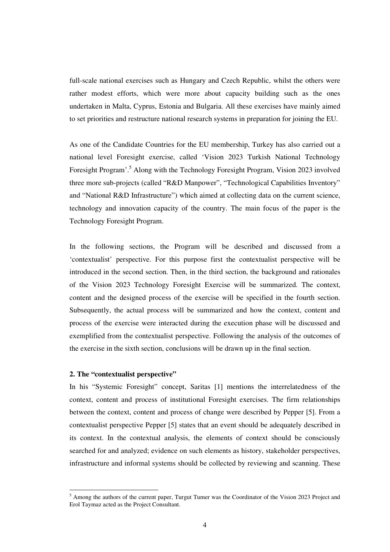full-scale national exercises such as Hungary and Czech Republic, whilst the others were rather modest efforts, which were more about capacity building such as the ones undertaken in Malta, Cyprus, Estonia and Bulgaria. All these exercises have mainly aimed to set priorities and restructure national research systems in preparation for joining the EU.

As one of the Candidate Countries for the EU membership, Turkey has also carried out a national level Foresight exercise, called 'Vision 2023 Turkish National Technology Foresight Program'.<sup>5</sup> Along with the Technology Foresight Program, Vision 2023 involved three more sub-projects (called "R&D Manpower", "Technological Capabilities Inventory" and "National R&D Infrastructure") which aimed at collecting data on the current science, technology and innovation capacity of the country. The main focus of the paper is the Technology Foresight Program.

In the following sections, the Program will be described and discussed from a 'contextualist' perspective. For this purpose first the contextualist perspective will be introduced in the second section. Then, in the third section, the background and rationales of the Vision 2023 Technology Foresight Exercise will be summarized. The context, content and the designed process of the exercise will be specified in the fourth section. Subsequently, the actual process will be summarized and how the context, content and process of the exercise were interacted during the execution phase will be discussed and exemplified from the contextualist perspective. Following the analysis of the outcomes of the exercise in the sixth section, conclusions will be drawn up in the final section.

## **2. The "contextualist perspective"**

In his "Systemic Foresight" concept, Saritas [1] mentions the interrelatedness of the context, content and process of institutional Foresight exercises. The firm relationships between the context, content and process of change were described by Pepper [5]. From a contextualist perspective Pepper [5] states that an event should be adequately described in its context. In the contextual analysis, the elements of context should be consciously searched for and analyzed; evidence on such elements as history, stakeholder perspectives, infrastructure and informal systems should be collected by reviewing and scanning. These

 $<sup>5</sup>$  Among the authors of the current paper, Turgut Tumer was the Coordinator of the Vision 2023 Project and</sup> Erol Taymaz acted as the Project Consultant.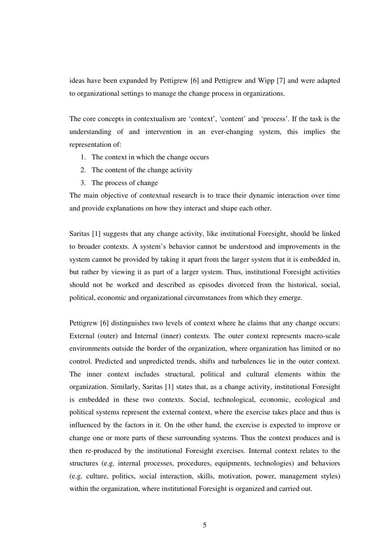ideas have been expanded by Pettigrew [6] and Pettigrew and Wipp [7] and were adapted to organizational settings to manage the change process in organizations.

The core concepts in contextualism are 'context', 'content' and 'process'. If the task is the understanding of and intervention in an ever-changing system, this implies the representation of:

- 1. The context in which the change occurs
- 2. The content of the change activity
- 3. The process of change

The main objective of contextual research is to trace their dynamic interaction over time and provide explanations on how they interact and shape each other.

Saritas [1] suggests that any change activity, like institutional Foresight, should be linked to broader contexts. A system's behavior cannot be understood and improvements in the system cannot be provided by taking it apart from the larger system that it is embedded in, but rather by viewing it as part of a larger system. Thus, institutional Foresight activities should not be worked and described as episodes divorced from the historical, social, political, economic and organizational circumstances from which they emerge.

Pettigrew [6] distinguishes two levels of context where he claims that any change occurs: External (outer) and Internal (inner) contexts. The outer context represents macro-scale environments outside the border of the organization, where organization has limited or no control. Predicted and unpredicted trends, shifts and turbulences lie in the outer context. The inner context includes structural, political and cultural elements within the organization. Similarly, Saritas [1] states that, as a change activity, institutional Foresight is embedded in these two contexts. Social, technological, economic, ecological and political systems represent the external context, where the exercise takes place and thus is influenced by the factors in it. On the other hand, the exercise is expected to improve or change one or more parts of these surrounding systems. Thus the context produces and is then re-produced by the institutional Foresight exercises. Internal context relates to the structures (e.g. internal processes, procedures, equipments, technologies) and behaviors (e.g. culture, politics, social interaction, skills, motivation, power, management styles) within the organization, where institutional Foresight is organized and carried out.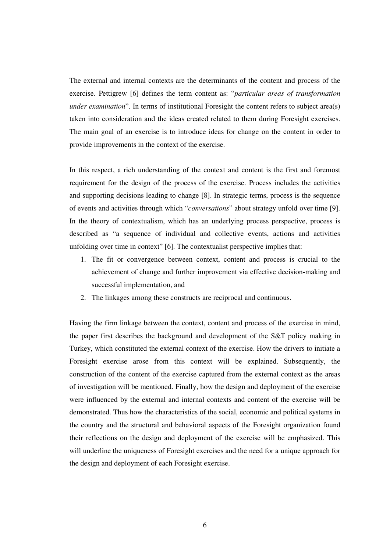The external and internal contexts are the determinants of the content and process of the exercise. Pettigrew [6] defines the term content as: "*particular areas of transformation under examination*". In terms of institutional Foresight the content refers to subject area(s) taken into consideration and the ideas created related to them during Foresight exercises. The main goal of an exercise is to introduce ideas for change on the content in order to provide improvements in the context of the exercise.

In this respect, a rich understanding of the context and content is the first and foremost requirement for the design of the process of the exercise. Process includes the activities and supporting decisions leading to change [8]. In strategic terms, process is the sequence of events and activities through which "*conversations*" about strategy unfold over time [9]. In the theory of contextualism, which has an underlying process perspective, process is described as "a sequence of individual and collective events, actions and activities unfolding over time in context" [6]. The contextualist perspective implies that:

- 1. The fit or convergence between context, content and process is crucial to the achievement of change and further improvement via effective decision-making and successful implementation, and
- 2. The linkages among these constructs are reciprocal and continuous.

Having the firm linkage between the context, content and process of the exercise in mind, the paper first describes the background and development of the S&T policy making in Turkey, which constituted the external context of the exercise. How the drivers to initiate a Foresight exercise arose from this context will be explained. Subsequently, the construction of the content of the exercise captured from the external context as the areas of investigation will be mentioned. Finally, how the design and deployment of the exercise were influenced by the external and internal contexts and content of the exercise will be demonstrated. Thus how the characteristics of the social, economic and political systems in the country and the structural and behavioral aspects of the Foresight organization found their reflections on the design and deployment of the exercise will be emphasized. This will underline the uniqueness of Foresight exercises and the need for a unique approach for the design and deployment of each Foresight exercise.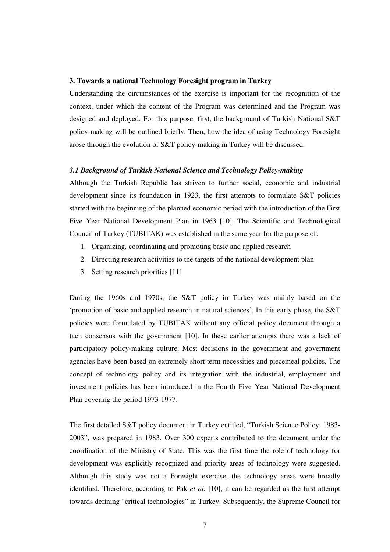#### **3. Towards a national Technology Foresight program in Turkey**

Understanding the circumstances of the exercise is important for the recognition of the context, under which the content of the Program was determined and the Program was designed and deployed. For this purpose, first, the background of Turkish National S&T policy-making will be outlined briefly. Then, how the idea of using Technology Foresight arose through the evolution of S&T policy-making in Turkey will be discussed.

## *3.1 Background of Turkish National Science and Technology Policy-making*

Although the Turkish Republic has striven to further social, economic and industrial development since its foundation in 1923, the first attempts to formulate S&T policies started with the beginning of the planned economic period with the introduction of the First Five Year National Development Plan in 1963 [10]. The Scientific and Technological Council of Turkey (TUBITAK) was established in the same year for the purpose of:

- 1. Organizing, coordinating and promoting basic and applied research
- 2. Directing research activities to the targets of the national development plan
- 3. Setting research priorities [11]

During the 1960s and 1970s, the S&T policy in Turkey was mainly based on the 'promotion of basic and applied research in natural sciences'. In this early phase, the S&T policies were formulated by TUBITAK without any official policy document through a tacit consensus with the government [10]. In these earlier attempts there was a lack of participatory policy-making culture. Most decisions in the government and government agencies have been based on extremely short term necessities and piecemeal policies. The concept of technology policy and its integration with the industrial, employment and investment policies has been introduced in the Fourth Five Year National Development Plan covering the period 1973-1977.

The first detailed S&T policy document in Turkey entitled, "Turkish Science Policy: 1983- 2003", was prepared in 1983. Over 300 experts contributed to the document under the coordination of the Ministry of State. This was the first time the role of technology for development was explicitly recognized and priority areas of technology were suggested. Although this study was not a Foresight exercise, the technology areas were broadly identified. Therefore, according to Pak *et al.* [10], it can be regarded as the first attempt towards defining "critical technologies" in Turkey. Subsequently, the Supreme Council for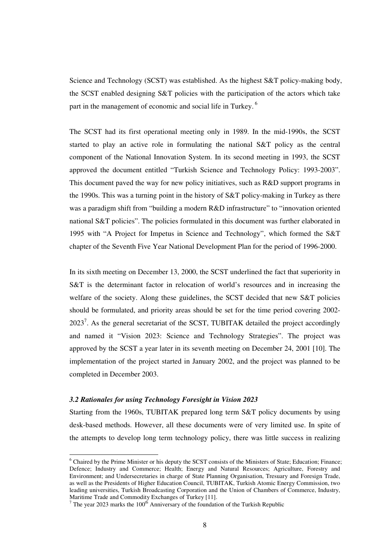Science and Technology (SCST) was established. As the highest S&T policy-making body, the SCST enabled designing S&T policies with the participation of the actors which take part in the management of economic and social life in Turkey.<sup>6</sup>

The SCST had its first operational meeting only in 1989. In the mid-1990s, the SCST started to play an active role in formulating the national S&T policy as the central component of the National Innovation System. In its second meeting in 1993, the SCST approved the document entitled "Turkish Science and Technology Policy: 1993-2003". This document paved the way for new policy initiatives, such as R&D support programs in the 1990s. This was a turning point in the history of S&T policy-making in Turkey as there was a paradigm shift from "building a modern R&D infrastructure" to "innovation oriented national S&T policies". The policies formulated in this document was further elaborated in 1995 with "A Project for Impetus in Science and Technology", which formed the S&T chapter of the Seventh Five Year National Development Plan for the period of 1996-2000.

In its sixth meeting on December 13, 2000, the SCST underlined the fact that superiority in S&T is the determinant factor in relocation of world's resources and in increasing the welfare of the society. Along these guidelines, the SCST decided that new S&T policies should be formulated, and priority areas should be set for the time period covering 2002-  $2023<sup>7</sup>$ . As the general secretariat of the SCST, TUBITAK detailed the project accordingly and named it "Vision 2023: Science and Technology Strategies". The project was approved by the SCST a year later in its seventh meeting on December 24, 2001 [10]. The implementation of the project started in January 2002, and the project was planned to be completed in December 2003.

# *3.2 Rationales for using Technology Foresight in Vision 2023*

Starting from the 1960s, TUBITAK prepared long term S&T policy documents by using desk-based methods. However, all these documents were of very limited use. In spite of the attempts to develop long term technology policy, there was little success in realizing

<sup>6</sup> Chaired by the Prime Minister or his deputy the SCST consists of the Ministers of State; Education; Finance; Defence; Industry and Commerce; Health; Energy and Natural Resources; Agriculture, Forestry and Environment; and Undersecretaries in charge of State Planning Organisation, Tresuary and Foresign Trade, as well as the Presidents of Higher Education Council, TUBITAK, Turkish Atomic Energy Commission, two leading universities, Turkish Broadcasting Corporation and the Union of Chambers of Commerce, Industry,

Maritime Trade and Commodity Exchanges of Turkey [11].<br><sup>7</sup> The year 2023 marks the 100<sup>th</sup> Anniversary of the foundation of the Turkish Republic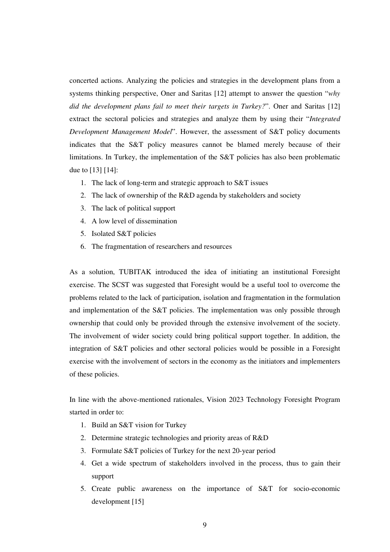concerted actions. Analyzing the policies and strategies in the development plans from a systems thinking perspective, Oner and Saritas [12] attempt to answer the question "*why did the development plans fail to meet their targets in Turkey?*". Oner and Saritas [12] extract the sectoral policies and strategies and analyze them by using their "*Integrated Development Management Model*". However, the assessment of S&T policy documents indicates that the S&T policy measures cannot be blamed merely because of their limitations. In Turkey, the implementation of the S&T policies has also been problematic due to [13] [14]:

- 1. The lack of long-term and strategic approach to S&T issues
- 2. The lack of ownership of the R&D agenda by stakeholders and society
- 3. The lack of political support
- 4. A low level of dissemination
- 5. Isolated S&T policies
- 6. The fragmentation of researchers and resources

As a solution, TUBITAK introduced the idea of initiating an institutional Foresight exercise. The SCST was suggested that Foresight would be a useful tool to overcome the problems related to the lack of participation, isolation and fragmentation in the formulation and implementation of the S&T policies. The implementation was only possible through ownership that could only be provided through the extensive involvement of the society. The involvement of wider society could bring political support together. In addition, the integration of S&T policies and other sectoral policies would be possible in a Foresight exercise with the involvement of sectors in the economy as the initiators and implementers of these policies.

In line with the above-mentioned rationales, Vision 2023 Technology Foresight Program started in order to:

- 1. Build an S&T vision for Turkey
- 2. Determine strategic technologies and priority areas of R&D
- 3. Formulate S&T policies of Turkey for the next 20-year period
- 4. Get a wide spectrum of stakeholders involved in the process, thus to gain their support
- 5. Create public awareness on the importance of S&T for socio-economic development [15]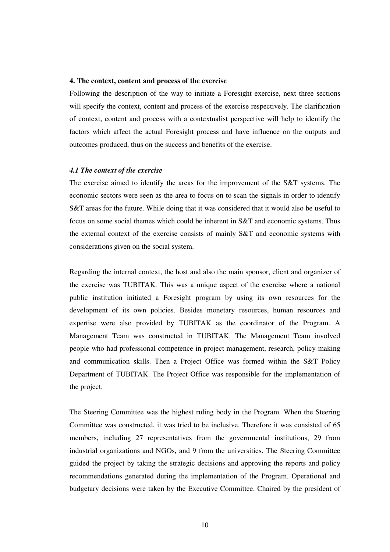#### **4. The context, content and process of the exercise**

Following the description of the way to initiate a Foresight exercise, next three sections will specify the context, content and process of the exercise respectively. The clarification of context, content and process with a contextualist perspective will help to identify the factors which affect the actual Foresight process and have influence on the outputs and outcomes produced, thus on the success and benefits of the exercise.

## *4.1 The context of the exercise*

The exercise aimed to identify the areas for the improvement of the S&T systems. The economic sectors were seen as the area to focus on to scan the signals in order to identify S&T areas for the future. While doing that it was considered that it would also be useful to focus on some social themes which could be inherent in S&T and economic systems. Thus the external context of the exercise consists of mainly S&T and economic systems with considerations given on the social system.

Regarding the internal context, the host and also the main sponsor, client and organizer of the exercise was TUBITAK. This was a unique aspect of the exercise where a national public institution initiated a Foresight program by using its own resources for the development of its own policies. Besides monetary resources, human resources and expertise were also provided by TUBITAK as the coordinator of the Program. A Management Team was constructed in TUBITAK. The Management Team involved people who had professional competence in project management, research, policy-making and communication skills. Then a Project Office was formed within the S&T Policy Department of TUBITAK. The Project Office was responsible for the implementation of the project.

The Steering Committee was the highest ruling body in the Program. When the Steering Committee was constructed, it was tried to be inclusive. Therefore it was consisted of 65 members, including 27 representatives from the governmental institutions, 29 from industrial organizations and NGOs, and 9 from the universities. The Steering Committee guided the project by taking the strategic decisions and approving the reports and policy recommendations generated during the implementation of the Program. Operational and budgetary decisions were taken by the Executive Committee. Chaired by the president of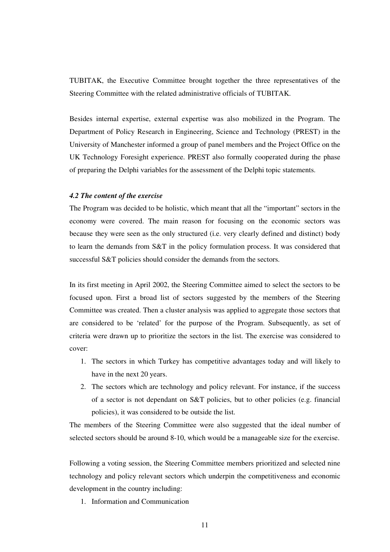TUBITAK, the Executive Committee brought together the three representatives of the Steering Committee with the related administrative officials of TUBITAK.

Besides internal expertise, external expertise was also mobilized in the Program. The Department of Policy Research in Engineering, Science and Technology (PREST) in the University of Manchester informed a group of panel members and the Project Office on the UK Technology Foresight experience. PREST also formally cooperated during the phase of preparing the Delphi variables for the assessment of the Delphi topic statements.

#### *4.2 The content of the exercise*

The Program was decided to be holistic, which meant that all the "important" sectors in the economy were covered. The main reason for focusing on the economic sectors was because they were seen as the only structured (i.e. very clearly defined and distinct) body to learn the demands from S&T in the policy formulation process. It was considered that successful S&T policies should consider the demands from the sectors.

In its first meeting in April 2002, the Steering Committee aimed to select the sectors to be focused upon. First a broad list of sectors suggested by the members of the Steering Committee was created. Then a cluster analysis was applied to aggregate those sectors that are considered to be 'related' for the purpose of the Program. Subsequently, as set of criteria were drawn up to prioritize the sectors in the list. The exercise was considered to cover:

- 1. The sectors in which Turkey has competitive advantages today and will likely to have in the next 20 years.
- 2. The sectors which are technology and policy relevant. For instance, if the success of a sector is not dependant on S&T policies, but to other policies (e.g. financial policies), it was considered to be outside the list.

The members of the Steering Committee were also suggested that the ideal number of selected sectors should be around 8-10, which would be a manageable size for the exercise.

Following a voting session, the Steering Committee members prioritized and selected nine technology and policy relevant sectors which underpin the competitiveness and economic development in the country including:

1. Information and Communication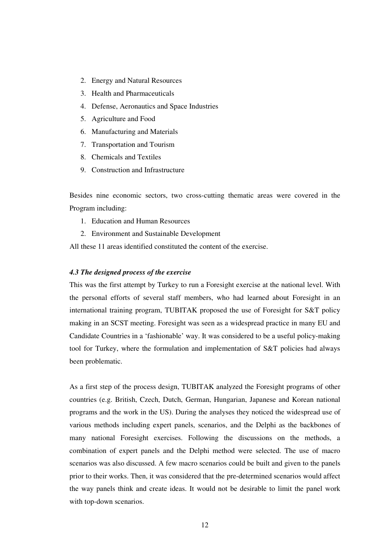- 2. Energy and Natural Resources
- 3. Health and Pharmaceuticals
- 4. Defense, Aeronautics and Space Industries
- 5. Agriculture and Food
- 6. Manufacturing and Materials
- 7. Transportation and Tourism
- 8. Chemicals and Textiles
- 9. Construction and Infrastructure

Besides nine economic sectors, two cross-cutting thematic areas were covered in the Program including:

- 1. Education and Human Resources
- 2. Environment and Sustainable Development

All these 11 areas identified constituted the content of the exercise.

#### *4.3 The designed process of the exercise*

This was the first attempt by Turkey to run a Foresight exercise at the national level. With the personal efforts of several staff members, who had learned about Foresight in an international training program, TUBITAK proposed the use of Foresight for S&T policy making in an SCST meeting. Foresight was seen as a widespread practice in many EU and Candidate Countries in a 'fashionable' way. It was considered to be a useful policy-making tool for Turkey, where the formulation and implementation of S&T policies had always been problematic.

As a first step of the process design, TUBITAK analyzed the Foresight programs of other countries (e.g. British, Czech, Dutch, German, Hungarian, Japanese and Korean national programs and the work in the US). During the analyses they noticed the widespread use of various methods including expert panels, scenarios, and the Delphi as the backbones of many national Foresight exercises. Following the discussions on the methods, a combination of expert panels and the Delphi method were selected. The use of macro scenarios was also discussed. A few macro scenarios could be built and given to the panels prior to their works. Then, it was considered that the pre-determined scenarios would affect the way panels think and create ideas. It would not be desirable to limit the panel work with top-down scenarios.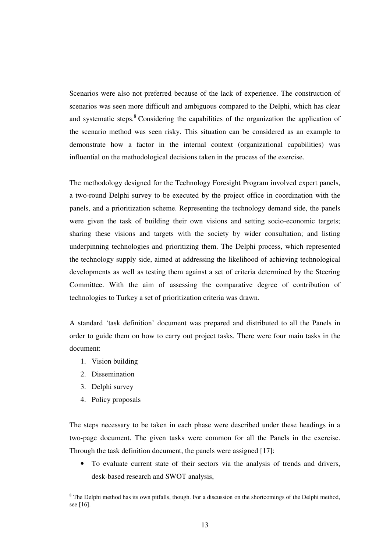Scenarios were also not preferred because of the lack of experience. The construction of scenarios was seen more difficult and ambiguous compared to the Delphi, which has clear and systematic steps.<sup>8</sup> Considering the capabilities of the organization the application of the scenario method was seen risky. This situation can be considered as an example to demonstrate how a factor in the internal context (organizational capabilities) was influential on the methodological decisions taken in the process of the exercise.

The methodology designed for the Technology Foresight Program involved expert panels, a two-round Delphi survey to be executed by the project office in coordination with the panels, and a prioritization scheme. Representing the technology demand side, the panels were given the task of building their own visions and setting socio-economic targets; sharing these visions and targets with the society by wider consultation; and listing underpinning technologies and prioritizing them. The Delphi process, which represented the technology supply side, aimed at addressing the likelihood of achieving technological developments as well as testing them against a set of criteria determined by the Steering Committee. With the aim of assessing the comparative degree of contribution of technologies to Turkey a set of prioritization criteria was drawn.

A standard 'task definition' document was prepared and distributed to all the Panels in order to guide them on how to carry out project tasks. There were four main tasks in the document:

- 1. Vision building
- 2. Dissemination
- 3. Delphi survey
- 4. Policy proposals

The steps necessary to be taken in each phase were described under these headings in a two-page document. The given tasks were common for all the Panels in the exercise. Through the task definition document, the panels were assigned [17]:

• To evaluate current state of their sectors via the analysis of trends and drivers, desk-based research and SWOT analysis,

 $8$  The Delphi method has its own pitfalls, though. For a discussion on the shortcomings of the Delphi method, see [16].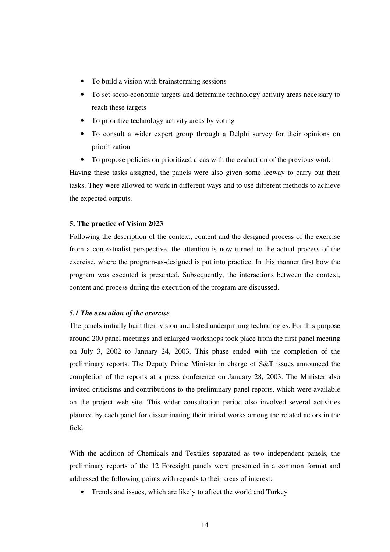- To build a vision with brainstorming sessions
- To set socio-economic targets and determine technology activity areas necessary to reach these targets
- To prioritize technology activity areas by voting
- To consult a wider expert group through a Delphi survey for their opinions on prioritization

• To propose policies on prioritized areas with the evaluation of the previous work Having these tasks assigned, the panels were also given some leeway to carry out their tasks. They were allowed to work in different ways and to use different methods to achieve the expected outputs.

## **5. The practice of Vision 2023**

Following the description of the context, content and the designed process of the exercise from a contextualist perspective, the attention is now turned to the actual process of the exercise, where the program-as-designed is put into practice. In this manner first how the program was executed is presented. Subsequently, the interactions between the context, content and process during the execution of the program are discussed.

# *5.1 The execution of the exercise*

The panels initially built their vision and listed underpinning technologies. For this purpose around 200 panel meetings and enlarged workshops took place from the first panel meeting on July 3, 2002 to January 24, 2003. This phase ended with the completion of the preliminary reports. The Deputy Prime Minister in charge of S&T issues announced the completion of the reports at a press conference on January 28, 2003. The Minister also invited criticisms and contributions to the preliminary panel reports, which were available on the project web site. This wider consultation period also involved several activities planned by each panel for disseminating their initial works among the related actors in the field.

With the addition of Chemicals and Textiles separated as two independent panels, the preliminary reports of the 12 Foresight panels were presented in a common format and addressed the following points with regards to their areas of interest:

• Trends and issues, which are likely to affect the world and Turkey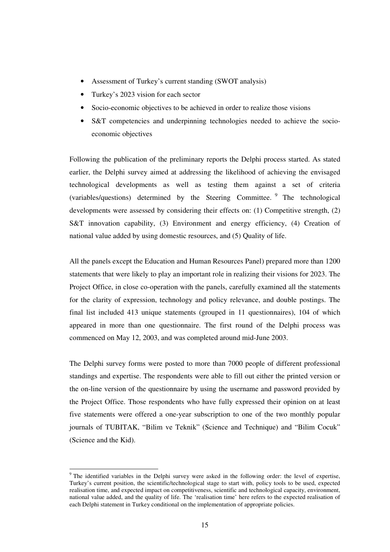- Assessment of Turkey's current standing (SWOT analysis)
- Turkey's 2023 vision for each sector
- Socio-economic objectives to be achieved in order to realize those visions
- S&T competencies and underpinning technologies needed to achieve the socioeconomic objectives

Following the publication of the preliminary reports the Delphi process started. As stated earlier, the Delphi survey aimed at addressing the likelihood of achieving the envisaged technological developments as well as testing them against a set of criteria (variables/questions) determined by the Steering Committee. <sup>9</sup> The technological developments were assessed by considering their effects on: (1) Competitive strength, (2) S&T innovation capability, (3) Environment and energy efficiency, (4) Creation of national value added by using domestic resources, and (5) Quality of life.

All the panels except the Education and Human Resources Panel) prepared more than 1200 statements that were likely to play an important role in realizing their visions for 2023. The Project Office, in close co-operation with the panels, carefully examined all the statements for the clarity of expression, technology and policy relevance, and double postings. The final list included 413 unique statements (grouped in 11 questionnaires), 104 of which appeared in more than one questionnaire. The first round of the Delphi process was commenced on May 12, 2003, and was completed around mid-June 2003.

The Delphi survey forms were posted to more than 7000 people of different professional standings and expertise. The respondents were able to fill out either the printed version or the on-line version of the questionnaire by using the username and password provided by the Project Office. Those respondents who have fully expressed their opinion on at least five statements were offered a one-year subscription to one of the two monthly popular journals of TUBITAK, "Bilim ve Teknik" (Science and Technique) and "Bilim Cocuk" (Science and the Kid).

<sup>&</sup>lt;sup>9</sup> The identified variables in the Delphi survey were asked in the following order: the level of expertise, Turkey's current position, the scientific/technological stage to start with, policy tools to be used, expected realisation time, and expected impact on competitiveness, scientific and technological capacity, environment, national value added, and the quality of life. The 'realisation time' here refers to the expected realisation of each Delphi statement in Turkey conditional on the implementation of appropriate policies.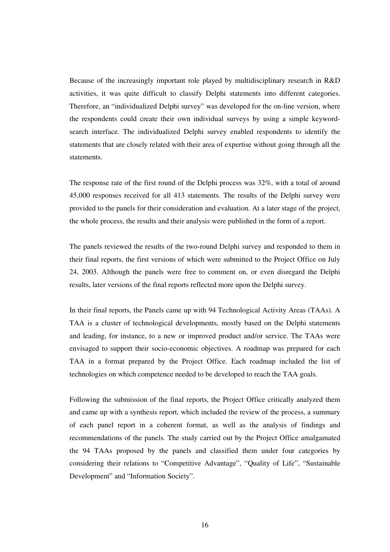Because of the increasingly important role played by multidisciplinary research in R&D activities, it was quite difficult to classify Delphi statements into different categories. Therefore, an "individualized Delphi survey" was developed for the on-line version, where the respondents could create their own individual surveys by using a simple keywordsearch interface. The individualized Delphi survey enabled respondents to identify the statements that are closely related with their area of expertise without going through all the statements.

The response rate of the first round of the Delphi process was 32%, with a total of around 45,000 responses received for all 413 statements. The results of the Delphi survey were provided to the panels for their consideration and evaluation. At a later stage of the project, the whole process, the results and their analysis were published in the form of a report.

The panels reviewed the results of the two-round Delphi survey and responded to them in their final reports, the first versions of which were submitted to the Project Office on July 24, 2003. Although the panels were free to comment on, or even disregard the Delphi results, later versions of the final reports reflected more upon the Delphi survey.

In their final reports, the Panels came up with 94 Technological Activity Areas (TAAs). A TAA is a cluster of technological developments, mostly based on the Delphi statements and leading, for instance, to a new or improved product and/or service. The TAAs were envisaged to support their socio-economic objectives. A roadmap was prepared for each TAA in a format prepared by the Project Office. Each roadmap included the list of technologies on which competence needed to be developed to reach the TAA goals.

Following the submission of the final reports, the Project Office critically analyzed them and came up with a synthesis report, which included the review of the process, a summary of each panel report in a coherent format, as well as the analysis of findings and recommendations of the panels. The study carried out by the Project Office amalgamated the 94 TAAs proposed by the panels and classified them under four categories by considering their relations to "Competitive Advantage", "Quality of Life", "Sustainable Development" and "Information Society".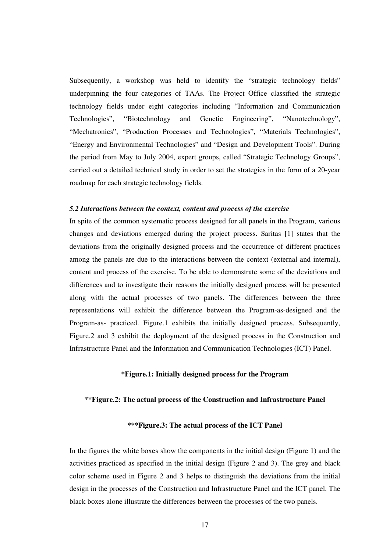Subsequently, a workshop was held to identify the "strategic technology fields" underpinning the four categories of TAAs. The Project Office classified the strategic technology fields under eight categories including "Information and Communication Technologies", "Biotechnology and Genetic Engineering", "Nanotechnology", "Mechatronics", "Production Processes and Technologies", "Materials Technologies", "Energy and Environmental Technologies" and "Design and Development Tools". During the period from May to July 2004, expert groups, called "Strategic Technology Groups", carried out a detailed technical study in order to set the strategies in the form of a 20-year roadmap for each strategic technology fields.

#### *5.2 Interactions between the context, content and process of the exercise*

In spite of the common systematic process designed for all panels in the Program, various changes and deviations emerged during the project process. Saritas [1] states that the deviations from the originally designed process and the occurrence of different practices among the panels are due to the interactions between the context (external and internal), content and process of the exercise. To be able to demonstrate some of the deviations and differences and to investigate their reasons the initially designed process will be presented along with the actual processes of two panels. The differences between the three representations will exhibit the difference between the Program-as-designed and the Program-as- practiced. Figure.1 exhibits the initially designed process. Subsequently, Figure.2 and 3 exhibit the deployment of the designed process in the Construction and Infrastructure Panel and the Information and Communication Technologies (ICT) Panel.

# **\*Figure.1: Initially designed process for the Program**

# **\*\*Figure.2: The actual process of the Construction and Infrastructure Panel**

#### **\*\*\*Figure.3: The actual process of the ICT Panel**

In the figures the white boxes show the components in the initial design (Figure 1) and the activities practiced as specified in the initial design (Figure 2 and 3). The grey and black color scheme used in Figure 2 and 3 helps to distinguish the deviations from the initial design in the processes of the Construction and Infrastructure Panel and the ICT panel. The black boxes alone illustrate the differences between the processes of the two panels.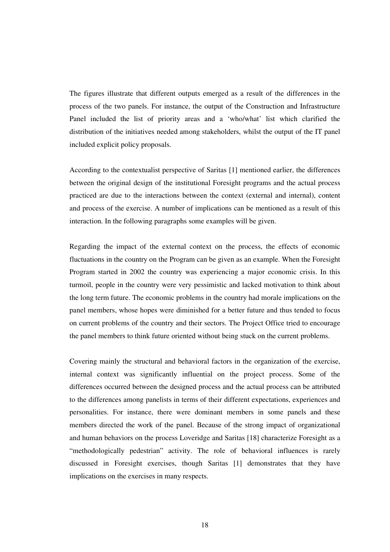The figures illustrate that different outputs emerged as a result of the differences in the process of the two panels. For instance, the output of the Construction and Infrastructure Panel included the list of priority areas and a 'who/what' list which clarified the distribution of the initiatives needed among stakeholders, whilst the output of the IT panel included explicit policy proposals.

According to the contextualist perspective of Saritas [1] mentioned earlier, the differences between the original design of the institutional Foresight programs and the actual process practiced are due to the interactions between the context (external and internal), content and process of the exercise. A number of implications can be mentioned as a result of this interaction. In the following paragraphs some examples will be given.

Regarding the impact of the external context on the process, the effects of economic fluctuations in the country on the Program can be given as an example. When the Foresight Program started in 2002 the country was experiencing a major economic crisis. In this turmoil, people in the country were very pessimistic and lacked motivation to think about the long term future. The economic problems in the country had morale implications on the panel members, whose hopes were diminished for a better future and thus tended to focus on current problems of the country and their sectors. The Project Office tried to encourage the panel members to think future oriented without being stuck on the current problems.

Covering mainly the structural and behavioral factors in the organization of the exercise, internal context was significantly influential on the project process. Some of the differences occurred between the designed process and the actual process can be attributed to the differences among panelists in terms of their different expectations, experiences and personalities. For instance, there were dominant members in some panels and these members directed the work of the panel. Because of the strong impact of organizational and human behaviors on the process Loveridge and Saritas [18] characterize Foresight as a "methodologically pedestrian" activity. The role of behavioral influences is rarely discussed in Foresight exercises, though Saritas [1] demonstrates that they have implications on the exercises in many respects.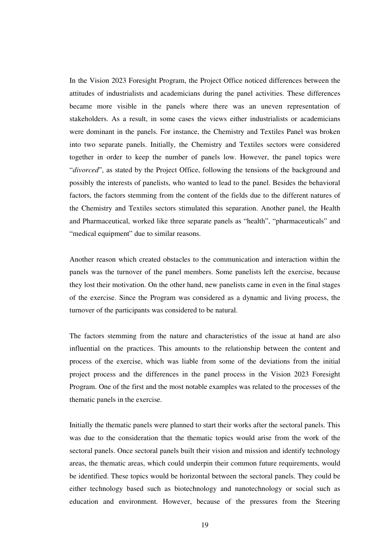In the Vision 2023 Foresight Program, the Project Office noticed differences between the attitudes of industrialists and academicians during the panel activities. These differences became more visible in the panels where there was an uneven representation of stakeholders. As a result, in some cases the views either industrialists or academicians were dominant in the panels. For instance, the Chemistry and Textiles Panel was broken into two separate panels. Initially, the Chemistry and Textiles sectors were considered together in order to keep the number of panels low. However, the panel topics were "*divorced*", as stated by the Project Office, following the tensions of the background and possibly the interests of panelists, who wanted to lead to the panel. Besides the behavioral factors, the factors stemming from the content of the fields due to the different natures of the Chemistry and Textiles sectors stimulated this separation. Another panel, the Health and Pharmaceutical, worked like three separate panels as "health", "pharmaceuticals" and "medical equipment" due to similar reasons.

Another reason which created obstacles to the communication and interaction within the panels was the turnover of the panel members. Some panelists left the exercise, because they lost their motivation. On the other hand, new panelists came in even in the final stages of the exercise. Since the Program was considered as a dynamic and living process, the turnover of the participants was considered to be natural.

The factors stemming from the nature and characteristics of the issue at hand are also influential on the practices. This amounts to the relationship between the content and process of the exercise, which was liable from some of the deviations from the initial project process and the differences in the panel process in the Vision 2023 Foresight Program. One of the first and the most notable examples was related to the processes of the thematic panels in the exercise.

Initially the thematic panels were planned to start their works after the sectoral panels. This was due to the consideration that the thematic topics would arise from the work of the sectoral panels. Once sectoral panels built their vision and mission and identify technology areas, the thematic areas, which could underpin their common future requirements, would be identified. These topics would be horizontal between the sectoral panels. They could be either technology based such as biotechnology and nanotechnology or social such as education and environment. However, because of the pressures from the Steering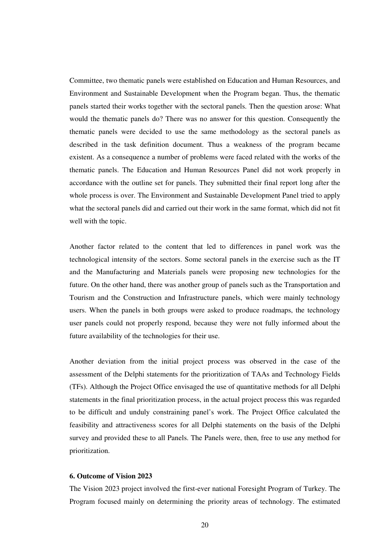Committee, two thematic panels were established on Education and Human Resources, and Environment and Sustainable Development when the Program began. Thus, the thematic panels started their works together with the sectoral panels. Then the question arose: What would the thematic panels do? There was no answer for this question. Consequently the thematic panels were decided to use the same methodology as the sectoral panels as described in the task definition document. Thus a weakness of the program became existent. As a consequence a number of problems were faced related with the works of the thematic panels. The Education and Human Resources Panel did not work properly in accordance with the outline set for panels. They submitted their final report long after the whole process is over. The Environment and Sustainable Development Panel tried to apply what the sectoral panels did and carried out their work in the same format, which did not fit well with the topic.

Another factor related to the content that led to differences in panel work was the technological intensity of the sectors. Some sectoral panels in the exercise such as the IT and the Manufacturing and Materials panels were proposing new technologies for the future. On the other hand, there was another group of panels such as the Transportation and Tourism and the Construction and Infrastructure panels, which were mainly technology users. When the panels in both groups were asked to produce roadmaps, the technology user panels could not properly respond, because they were not fully informed about the future availability of the technologies for their use.

Another deviation from the initial project process was observed in the case of the assessment of the Delphi statements for the prioritization of TAAs and Technology Fields (TFs). Although the Project Office envisaged the use of quantitative methods for all Delphi statements in the final prioritization process, in the actual project process this was regarded to be difficult and unduly constraining panel's work. The Project Office calculated the feasibility and attractiveness scores for all Delphi statements on the basis of the Delphi survey and provided these to all Panels. The Panels were, then, free to use any method for prioritization.

# **6. Outcome of Vision 2023**

The Vision 2023 project involved the first-ever national Foresight Program of Turkey. The Program focused mainly on determining the priority areas of technology. The estimated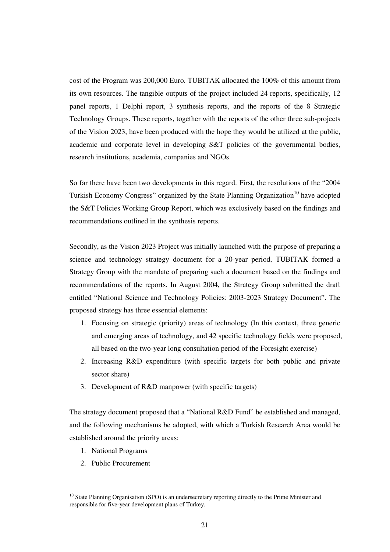cost of the Program was 200,000 Euro. TUBITAK allocated the 100% of this amount from its own resources. The tangible outputs of the project included 24 reports, specifically, 12 panel reports, 1 Delphi report, 3 synthesis reports, and the reports of the 8 Strategic Technology Groups. These reports, together with the reports of the other three sub-projects of the Vision 2023, have been produced with the hope they would be utilized at the public, academic and corporate level in developing S&T policies of the governmental bodies, research institutions, academia, companies and NGOs.

So far there have been two developments in this regard. First, the resolutions of the "2004 Turkish Economy Congress" organized by the State Planning Organization<sup>10</sup> have adopted the S&T Policies Working Group Report, which was exclusively based on the findings and recommendations outlined in the synthesis reports.

Secondly, as the Vision 2023 Project was initially launched with the purpose of preparing a science and technology strategy document for a 20-year period, TUBITAK formed a Strategy Group with the mandate of preparing such a document based on the findings and recommendations of the reports. In August 2004, the Strategy Group submitted the draft entitled "National Science and Technology Policies: 2003-2023 Strategy Document". The proposed strategy has three essential elements:

- 1. Focusing on strategic (priority) areas of technology (In this context, three generic and emerging areas of technology, and 42 specific technology fields were proposed, all based on the two-year long consultation period of the Foresight exercise)
- 2. Increasing R&D expenditure (with specific targets for both public and private sector share)
- 3. Development of R&D manpower (with specific targets)

The strategy document proposed that a "National R&D Fund" be established and managed, and the following mechanisms be adopted, with which a Turkish Research Area would be established around the priority areas:

- 1. National Programs
- 2. Public Procurement

<sup>&</sup>lt;sup>10</sup> State Planning Organisation (SPO) is an undersecretary reporting directly to the Prime Minister and responsible for five-year development plans of Turkey.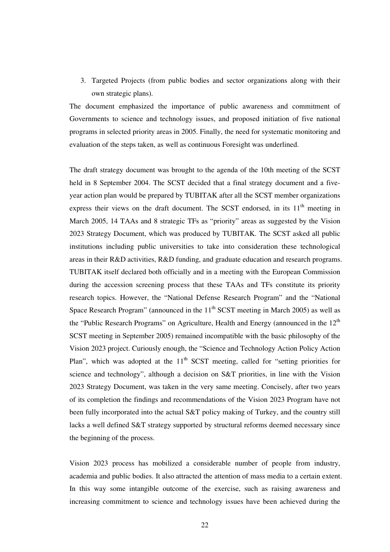3. Targeted Projects (from public bodies and sector organizations along with their own strategic plans).

The document emphasized the importance of public awareness and commitment of Governments to science and technology issues, and proposed initiation of five national programs in selected priority areas in 2005. Finally, the need for systematic monitoring and evaluation of the steps taken, as well as continuous Foresight was underlined.

The draft strategy document was brought to the agenda of the 10th meeting of the SCST held in 8 September 2004. The SCST decided that a final strategy document and a fiveyear action plan would be prepared by TUBITAK after all the SCST member organizations express their views on the draft document. The SCST endorsed, in its  $11<sup>th</sup>$  meeting in March 2005, 14 TAAs and 8 strategic TFs as "priority" areas as suggested by the Vision 2023 Strategy Document, which was produced by TUBITAK. The SCST asked all public institutions including public universities to take into consideration these technological areas in their R&D activities, R&D funding, and graduate education and research programs. TUBITAK itself declared both officially and in a meeting with the European Commission during the accession screening process that these TAAs and TFs constitute its priority research topics. However, the "National Defense Research Program" and the "National Space Research Program" (announced in the  $11<sup>th</sup>$  SCST meeting in March 2005) as well as the "Public Research Programs" on Agriculture, Health and Energy (announced in the  $12<sup>th</sup>$ SCST meeting in September 2005) remained incompatible with the basic philosophy of the Vision 2023 project. Curiously enough, the "Science and Technology Action Policy Action Plan", which was adopted at the  $11<sup>th</sup>$  SCST meeting, called for "setting priorities for science and technology", although a decision on S&T priorities, in line with the Vision 2023 Strategy Document, was taken in the very same meeting. Concisely, after two years of its completion the findings and recommendations of the Vision 2023 Program have not been fully incorporated into the actual S&T policy making of Turkey, and the country still lacks a well defined S&T strategy supported by structural reforms deemed necessary since the beginning of the process.

Vision 2023 process has mobilized a considerable number of people from industry, academia and public bodies. It also attracted the attention of mass media to a certain extent. In this way some intangible outcome of the exercise, such as raising awareness and increasing commitment to science and technology issues have been achieved during the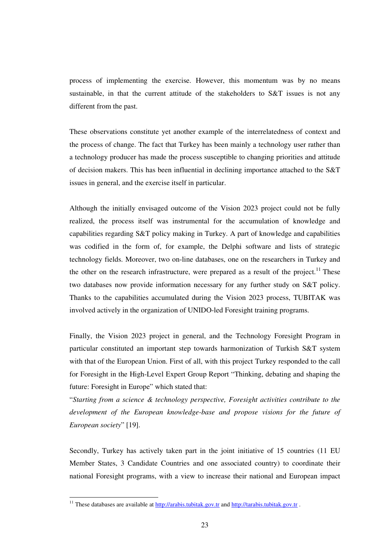process of implementing the exercise. However, this momentum was by no means sustainable, in that the current attitude of the stakeholders to S&T issues is not any different from the past.

These observations constitute yet another example of the interrelatedness of context and the process of change. The fact that Turkey has been mainly a technology user rather than a technology producer has made the process susceptible to changing priorities and attitude of decision makers. This has been influential in declining importance attached to the S&T issues in general, and the exercise itself in particular.

Although the initially envisaged outcome of the Vision 2023 project could not be fully realized, the process itself was instrumental for the accumulation of knowledge and capabilities regarding S&T policy making in Turkey. A part of knowledge and capabilities was codified in the form of, for example, the Delphi software and lists of strategic technology fields. Moreover, two on-line databases, one on the researchers in Turkey and the other on the research infrastructure, were prepared as a result of the project.<sup>11</sup> These two databases now provide information necessary for any further study on S&T policy. Thanks to the capabilities accumulated during the Vision 2023 process, TUBITAK was involved actively in the organization of UNIDO-led Foresight training programs.

Finally, the Vision 2023 project in general, and the Technology Foresight Program in particular constituted an important step towards harmonization of Turkish S&T system with that of the European Union. First of all, with this project Turkey responded to the call for Foresight in the High-Level Expert Group Report "Thinking, debating and shaping the future: Foresight in Europe" which stated that:

"*Starting from a science & technology perspective, Foresight activities contribute to the development of the European knowledge-base and propose visions for the future of European society*" [19].

Secondly, Turkey has actively taken part in the joint initiative of 15 countries (11 EU Member States, 3 Candidate Countries and one associated country) to coordinate their national Foresight programs, with a view to increase their national and European impact

<sup>&</sup>lt;sup>11</sup> These databases are available at http://arabis.tubitak.gov.tr and http://tarabis.tubitak.gov.tr.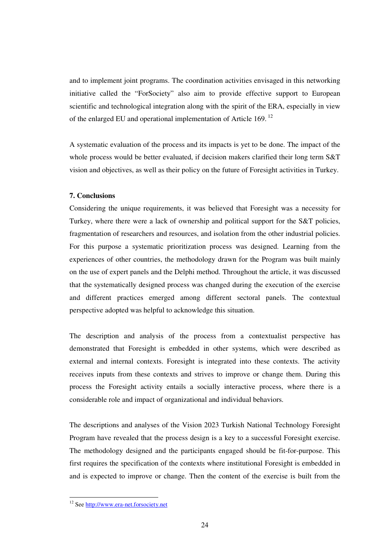and to implement joint programs. The coordination activities envisaged in this networking initiative called the "ForSociety" also aim to provide effective support to European scientific and technological integration along with the spirit of the ERA, especially in view of the enlarged EU and operational implementation of Article 169.<sup>12</sup>

A systematic evaluation of the process and its impacts is yet to be done. The impact of the whole process would be better evaluated, if decision makers clarified their long term S&T vision and objectives, as well as their policy on the future of Foresight activities in Turkey.

# **7. Conclusions**

Considering the unique requirements, it was believed that Foresight was a necessity for Turkey, where there were a lack of ownership and political support for the S&T policies, fragmentation of researchers and resources, and isolation from the other industrial policies. For this purpose a systematic prioritization process was designed. Learning from the experiences of other countries, the methodology drawn for the Program was built mainly on the use of expert panels and the Delphi method. Throughout the article, it was discussed that the systematically designed process was changed during the execution of the exercise and different practices emerged among different sectoral panels. The contextual perspective adopted was helpful to acknowledge this situation.

The description and analysis of the process from a contextualist perspective has demonstrated that Foresight is embedded in other systems, which were described as external and internal contexts. Foresight is integrated into these contexts. The activity receives inputs from these contexts and strives to improve or change them. During this process the Foresight activity entails a socially interactive process, where there is a considerable role and impact of organizational and individual behaviors.

The descriptions and analyses of the Vision 2023 Turkish National Technology Foresight Program have revealed that the process design is a key to a successful Foresight exercise. The methodology designed and the participants engaged should be fit-for-purpose. This first requires the specification of the contexts where institutional Foresight is embedded in and is expected to improve or change. Then the content of the exercise is built from the

<sup>&</sup>lt;sup>12</sup> See http://www.era-net.forsociety.net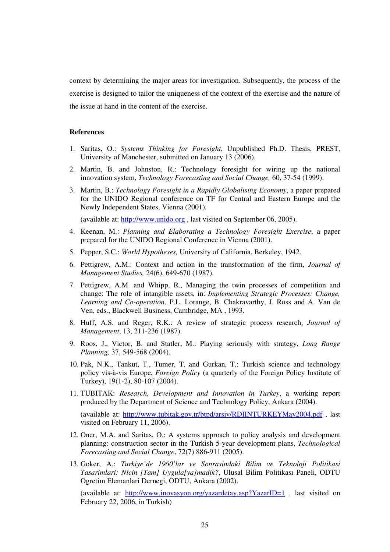context by determining the major areas for investigation. Subsequently, the process of the exercise is designed to tailor the uniqueness of the context of the exercise and the nature of the issue at hand in the content of the exercise.

#### **References**

- 1. Saritas, O.: *Systems Thinking for Foresight*, Unpublished Ph.D. Thesis, PREST, University of Manchester, submitted on January 13 (2006).
- 2. Martin, B. and Johnston, R.: Technology foresight for wiring up the national innovation system, *Technology Forecasting and Social Change,* 60, 37-54 (1999).
- 3. Martin, B.: *Technology Foresight in a Rapidly Globalising Economy*, a paper prepared for the UNIDO Regional conference on TF for Central and Eastern Europe and the Newly Independent States, Vienna (2001).

(available at: http://www.unido.org , last visited on September 06, 2005).

- 4. Keenan, M.: *Planning and Elaborating a Technology Foresight Exercise*, a paper prepared for the UNIDO Regional Conference in Vienna (2001).
- 5. Pepper, S.C.: *World Hypotheses,* University of California, Berkeley, 1942.
- 6. Pettigrew, A.M.: Context and action in the transformation of the firm, *Journal of Management Studies,* 24(6), 649-670 (1987).
- 7. Pettigrew, A.M. and Whipp, R., Managing the twin processes of competition and change: The role of intangible assets, in: *Implementing Strategic Processes: Change, Learning and Co-operation*. P.L. Lorange, B. Chakravarthy, J. Ross and A. Van de Ven, eds., Blackwell Business, Cambridge, MA , 1993.
- 8. Huff, A.S. and Reger, R.K.: A review of strategic process research, *Journal of Management*, 13, 211-236 (1987).
- 9. Roos, J., Victor, B. and Statler, M.: Playing seriously with strategy, *Long Range Planning,* 37, 549-568 (2004).
- 10. Pak, N.K., Tankut, T., Tumer, T. and Gurkan, T.: Turkish science and technology policy vis-à-vis Europe, *Foreign Policy* (a quarterly of the Foreign Policy Institute of Turkey), 19(1-2), 80-107 (2004).
- 11. TUBITAK: *Research, Development and Innovation in Turkey*, a working report produced by the Department of Science and Technology Policy, Ankara (2004).

(available at: http://www.tubitak.gov.tr/btpd/arsiv/RDIINTURKEYMay2004.pdf , last visited on February 11, 2006).

- 12. Oner, M.A. and Saritas, O.: A systems approach to policy analysis and development planning: construction sector in the Turkish 5-year development plans, *Technological Forecasting and Social Change*, 72(7) 886-911 (2005).
- 13. Goker, A.: *Turkiye'de 1960'lar ve Sonrasindaki Bilim ve Teknoloji Politikasi Tasarimlari: Nicin [Tam] Uygula[ya]madik?*, Ulusal Bilim Politikası Paneli, ODTU Ogretim Elemanlari Dernegi, ODTU, Ankara (2002).

(available at: http://www.inovasyon.org/yazardetay.asp?YazarID=1 , last visited on February 22, 2006, in Turkish)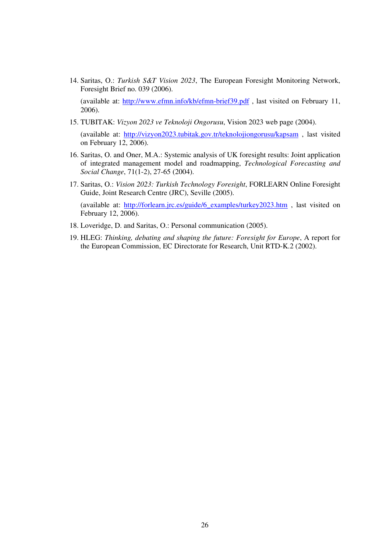14. Saritas, O.: *Turkish S&T Vision 2023*, The European Foresight Monitoring Network, Foresight Brief no. 039 (2006).

(available at: http://www.efmn.info/kb/efmn-brief39.pdf , last visited on February 11, 2006).

15. TUBITAK: *Vizyon 2023 ve Teknoloji Ongorusu*, Vision 2023 web page (2004).

(available at: http://vizyon2023.tubitak.gov.tr/teknolojiongorusu/kapsam , last visited on February 12, 2006).

- 16. Saritas, O. and Oner, M.A.: Systemic analysis of UK foresight results: Joint application of integrated management model and roadmapping, *Technological Forecasting and Social Change*, 71(1-2), 27-65 (2004).
- 17. Saritas, O.: *Vision 2023: Turkish Technology Foresight*, FORLEARN Online Foresight Guide, Joint Research Centre (JRC), Seville (2005).

(available at: http://forlearn.jrc.es/guide/6\_examples/turkey2023.htm , last visited on February 12, 2006).

- 18. Loveridge, D. and Saritas, O.: Personal communication (2005).
- 19. HLEG: *Thinking, debating and shaping the future: Foresight for Europe*, A report for the European Commission, EC Directorate for Research, Unit RTD-K.2 (2002).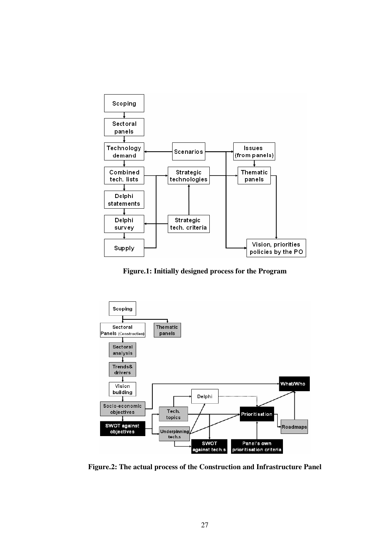

**Figure.1: Initially designed process for the Program**



**Figure.2: The actual process of the Construction and Infrastructure Panel**